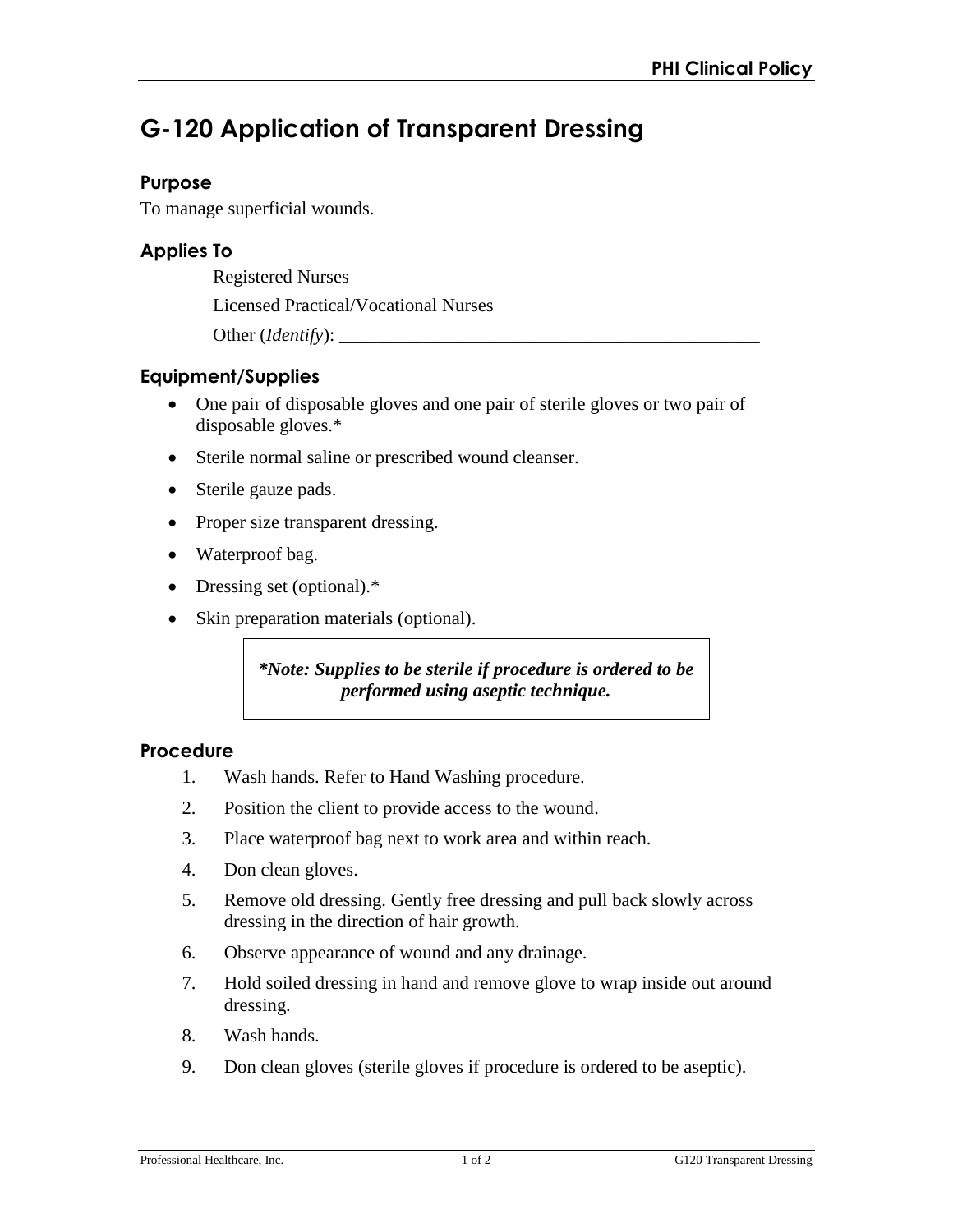# **G-120 Application of Transparent Dressing**

### **Purpose**

To manage superficial wounds.

## **Applies To**

Registered Nurses

Licensed Practical/Vocational Nurses

Other (*Identify*):

## **Equipment/Supplies**

- One pair of disposable gloves and one pair of sterile gloves or two pair of disposable gloves.\*
- Sterile normal saline or prescribed wound cleanser.
- Sterile gauze pads.
- Proper size transparent dressing.
- Waterproof bag.
- Dressing set (optional).\*
- Skin preparation materials (optional).

*\*Note: Supplies to be sterile if procedure is ordered to be performed using aseptic technique.* 

#### **Procedure**

- 1. Wash hands. Refer to Hand Washing procedure.
- 2. Position the client to provide access to the wound.
- 3. Place waterproof bag next to work area and within reach.
- 4. Don clean gloves.
- 5. Remove old dressing. Gently free dressing and pull back slowly across dressing in the direction of hair growth.
- 6. Observe appearance of wound and any drainage.
- 7. Hold soiled dressing in hand and remove glove to wrap inside out around dressing.
- 8. Wash hands.
- 9. Don clean gloves (sterile gloves if procedure is ordered to be aseptic).